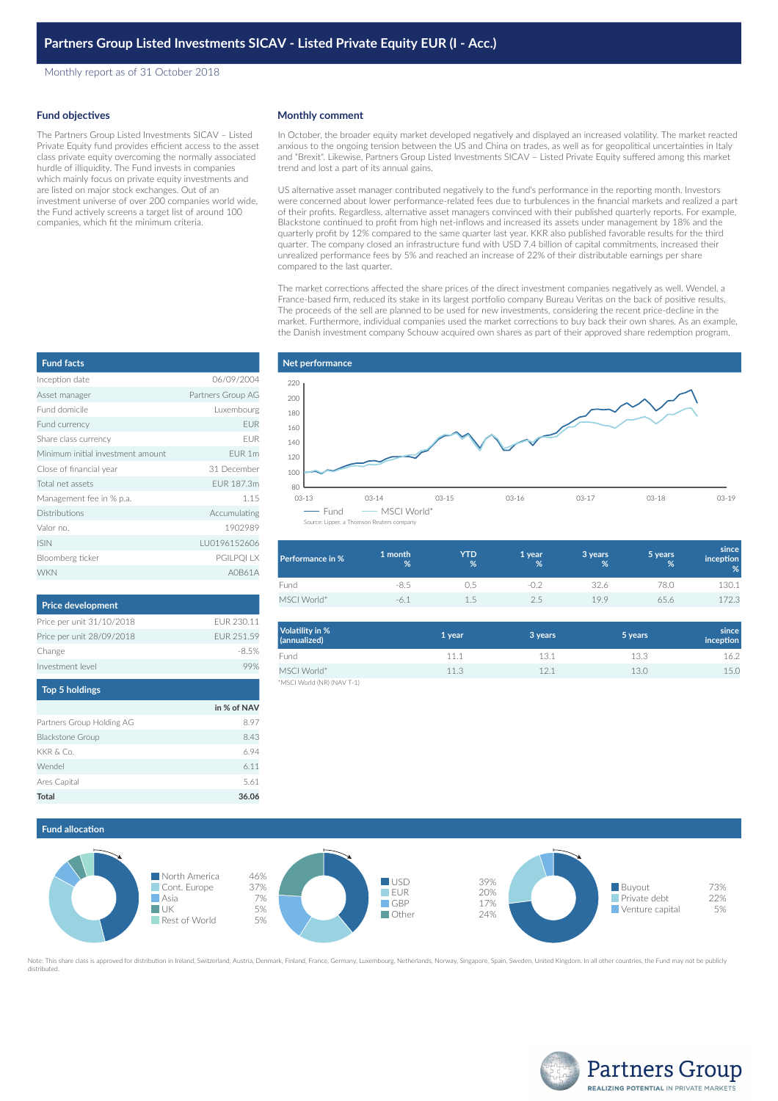Monthly report as of 31 October 2018

### **Fund objectives**

The Partners Group Listed Investments SICAV – Listed Private Equity fund provides efficient access to the asset class private equity overcoming the normally associated hurdle of illiquidity. The Fund invests in companies which mainly focus on private equity investments and are listed on major stock exchanges. Out of an investment universe of over 200 companies world wide, the Fund actively screens a target list of around 100 companies, which fit the minimum criteria.

### **Monthly comment**

In October, the broader equity market developed negatively and displayed an increased volatility. The market reacted anxious to the ongoing tension between the US and China on trades, as well as for geopolitical uncertainties in Italy and "Brexit". Likewise, Partners Group Listed Investments SICAV – Listed Private Equity suffered among this market trend and lost a part of its annual gains.

US alternative asset manager contributed negatively to the fund's performance in the reporting month. Investors were concerned about lower performance-related fees due to turbulences in the financial markets and realized a part of their profits. Regardless, alternative asset managers convinced with their published quarterly reports. For example, Blackstone continued to profit from high net-inflows and increased its assets under management by 18% and the quarterly profit by 12% compared to the same quarter last year. KKR also published favorable results for the third quarter. The company closed an infrastructure fund with USD 7.4 billion of capital commitments, increased their unrealized performance fees by 5% and reached an increase of 22% of their distributable earnings per share compared to the last quarter.

The market corrections affected the share prices of the direct investment companies negatively as well. Wendel, a France-based firm, reduced its stake in its largest portfolio company Bureau Veritas on the back of positive results. The proceeds of the sell are planned to be used for new investments, considering the recent price-decline in the market. Furthermore, individual companies used the market corrections to buy back their own shares. As an example, the Danish investment company Schouw acquired own shares as part of their approved share redemption program.



| <b>Performance in %</b> | 1 month<br>% | <b>YTD</b><br>% | '1 year.<br>% | 3 years<br>% | 5 years<br>% | since<br>inception<br>% |
|-------------------------|--------------|-----------------|---------------|--------------|--------------|-------------------------|
| Fund                    | $-8.5$       |                 |               | 32.6         | 78.0         | 130.1                   |
| MSCI World*             | -6.1         | 1.5             | 2.5           | 19.9         | 65.6         | 72.3                    |

| Volatility in %<br>(annualized)           | 1 year | 3 years | 5 years | since<br><i>inception</i> |
|-------------------------------------------|--------|---------|---------|---------------------------|
| Fund                                      | 11.1   | 13.1    | 13.3    | 16.2                      |
| MSCI World*<br>*MSCI World (NR) (NAV T-1) | 11.3   | 121     | 13.0    | 15.0                      |





Note: This share class is approved for distribution in Ireland, Switzerland, Austria, Denmark, Finland, France, Germany, Luxembourg, Netherlands, Norway, Singapore, Spain, Sweden, United Kingdom. In all other countries, th



| <b>Fund facts</b>                 |                   |
|-----------------------------------|-------------------|
| Inception date                    | 06/09/2004        |
| Asset manager                     | Partners Group AG |
| Fund domicile                     | Luxembourg        |
| Fund currency                     | <b>EUR</b>        |
| Share class currency              | <b>EUR</b>        |
| Minimum initial investment amount | EUR 1m            |
| Close of financial year           | 31 December       |
| Total net assets                  | FUR 187.3m        |
| Management fee in % p.a.          | 1.15              |
| Distributions                     | Accumulating      |
| Valor no.                         | 1902989           |
| <b>ISIN</b>                       | LU0196152606      |
| Bloomberg ticker                  | PGILPQI LX        |
| <b>WKN</b>                        | A0B61A            |

| <b>Price development</b>  |            |
|---------------------------|------------|
| Price per unit 31/10/2018 | FUR 230.11 |
| Price per unit 28/09/2018 | FUR 251.59 |
| Change                    | $-8.5%$    |
| Investment level          |            |
| <b>Top 5 holdings</b>     |            |

|                           | in % of NAV |
|---------------------------|-------------|
| Partners Group Holding AG | 8.97        |
| <b>Blackstone Group</b>   | 8.43        |
| KKR & Co.                 | 694         |
| Wendel                    | 6.11        |
| Ares Capital              | 5.61        |
| Total                     | 36.06       |